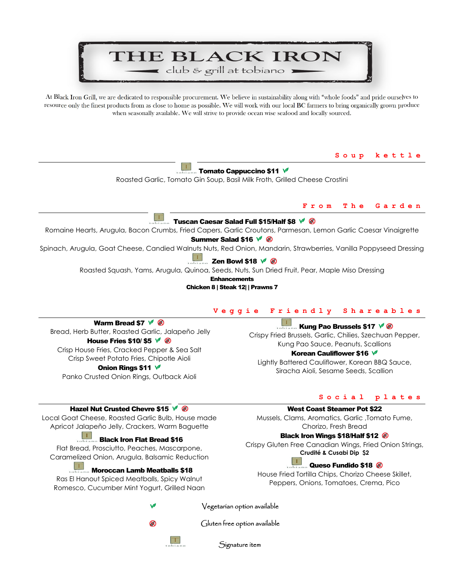# THE BLACK IRON club & grill at tobiano

At Black Iron Grill, we are dedicated to responsible procurement. We believe in sustainability along with "whole foods" and pride ourselves to resource only the finest products from as close to home as possible. We will work with our local BC farmers to bring organically grown produce when seasonally available. We will strive to provide ocean wise seafood and locally sourced.

**Soup kettle** 

 $\ldots$  Tomato Cappuccino \$11  $\sqrt{ }$ 

Roasted Garlic, Tomato Gin Soup, Basil Milk Froth, Grilled Cheese Crostini

#### **From The Garden**

#### T Tuscan Caesar Salad Full \$15/Half \$8  $\sqrt{8}$

Romaine Hearts, Arugula, Bacon Crumbs, Fried Capers, Garlic Croutons, Parmesan, Lemon Garlic Caesar Vinaigrette

Summer Salad \$16 <del>∨</del> <sup>*®*</sup>

Spinach, Arugula, Goat Cheese, Candied Walnuts Nuts, Red Onion, Mandarin, Strawberries, Vanilla Poppyseed Dressing

#### $\Box$ Zen Bowl \$18  $\sqrt{\otimes}$

Roasted Squash, Yams, Arugula, Quinoa, Seeds, Nuts, Sun Dried Fruit, Pear, Maple Miso Dressing

**Enhancements** 

Chicken 8 | Steak 12| | Prawns 7

#### **Veggie Friendly Shareables**

Warm Bread \$7  $\sqrt{\ }$   $\otimes$  Bread, Herb Butter, Roasted Garlic, Jalapeño Jelly House Fries \$10/ \$5  $\sqrt{ }$  <sup>®</sup> Crisp House Fries, Cracked Pepper & Sea Salt Crisp Sweet Potato Fries, Chipotle Aioli Onion Rings \$11  $\sqrt{ }$ Panko Crusted Onion Rings, Outback Aioli

### **Kung Pao Brussels \$17**  $\sqrt{8}$

Crispy Fried Brussels, Garlic, Chilies, Szechuan Pepper, Kung Pao Sauce, Peanuts, Scallions

### **Korean Cauliflower \$16**  $✓$

Lightly Battered Cauliflower, Korean BBQ Sauce, Siracha Aioli, Sesame Seeds, Scallion

### Hazel Nut Crusted Chevre \$15  $\sqrt{8}$

Local Goat Cheese, Roasted Garlic Bulb, House made Apricot Jalapeño Jelly, Crackers, Warm Baguette

#### $\Box\Box$  $\overline{\phantom{a}}$  Black Iron Flat Bread \$16

Flat Bread, Prosciutto, Peaches, Mascarpone, Caramelized Onion, Arugula, Balsamic Reduction

**Moroccan Lamb Meatballs \$18** 

Ras El Hanout Spiced Meatballs, Spicy Walnut Romesco, Cucumber Mint Yogurt, Grilled Naan

#### **Social plates**

#### West Coast Steamer Pot \$22

Mussels, Clams, Aromatics, Garlic ,Tomato Fume, Chorizo, Fresh Bread

### Black Iron Wings \$18/Half \$12

Crispy Gluten Free Canadian Wings, Fried Onion Strings, **Crudité & Cusabi Dip \$2**

#### $\Box$ Queso Fundido \$18

House Fried Tortilla Chips, Chorizo Cheese Skillet, Peppers, Onions, Tomatoes, Crema, Pico

 $\top$ 

## Vegetarian option available



Gluten free option available